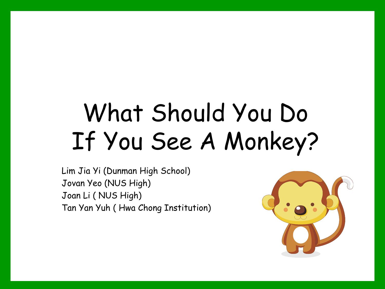# What Should You Do If You See A Monkey?

Lim Jia Yi (Dunman High School) Jovan Yeo (NUS High) Joan Li ( NUS High) Tan Yan Yuh ( Hwa Chong Institution)

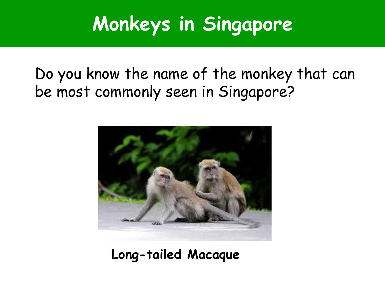## **Monkeys in Singapore**

#### Do you know the name of the monkey that can be most commonly seen in Singapore?



**Long-tailed Macaque**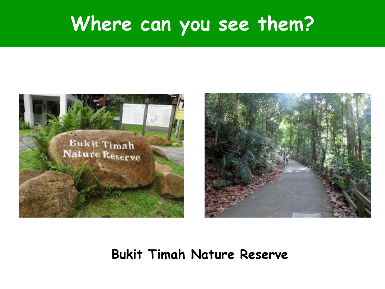### **Where can you see them?**





#### **Bukit Timah Nature Reserve**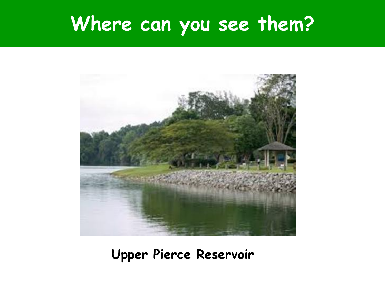### **Where can you see them?**



**Upper Pierce Reservoir**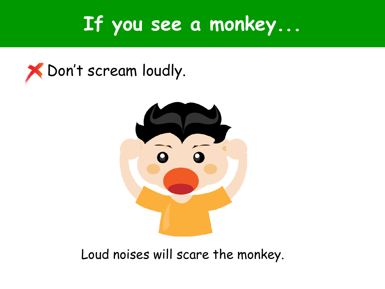### **If you see a monkey...**





Loud noises will scare the monkey.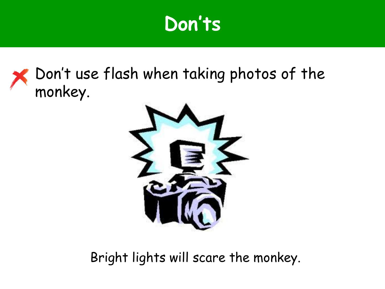#### Don't use flash when taking photos of the monkey.



Bright lights will scare the monkey.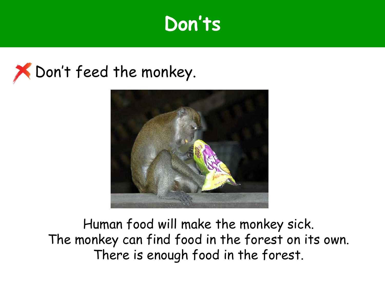



Human food will make the monkey sick. The monkey can find food in the forest on its own. There is enough food in the forest.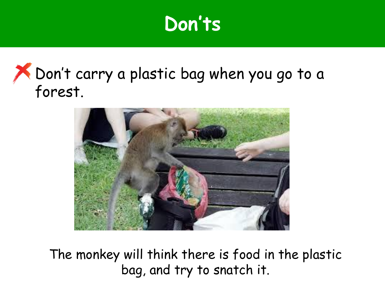#### Don't carry a plastic bag when you go to a forest.



The monkey will think there is food in the plastic bag, and try to snatch it.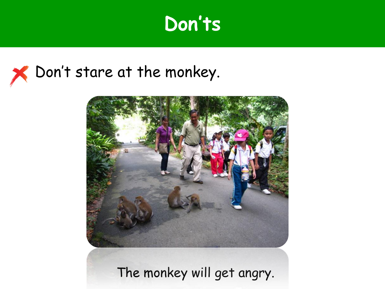### X Don't stare at the monkey.



The monkey will get angry.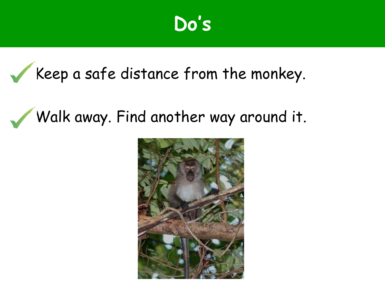### **Do's**

#### Keep a safe distance from the monkey.

### Walk away. Find another way around it.

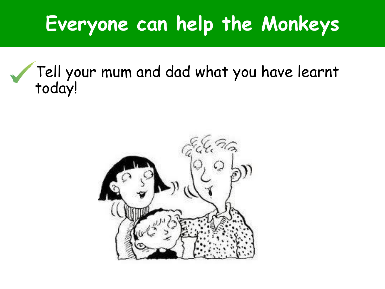### **Everyone can help the Monkeys**

#### Tell your mum and dad what you have learnt today!